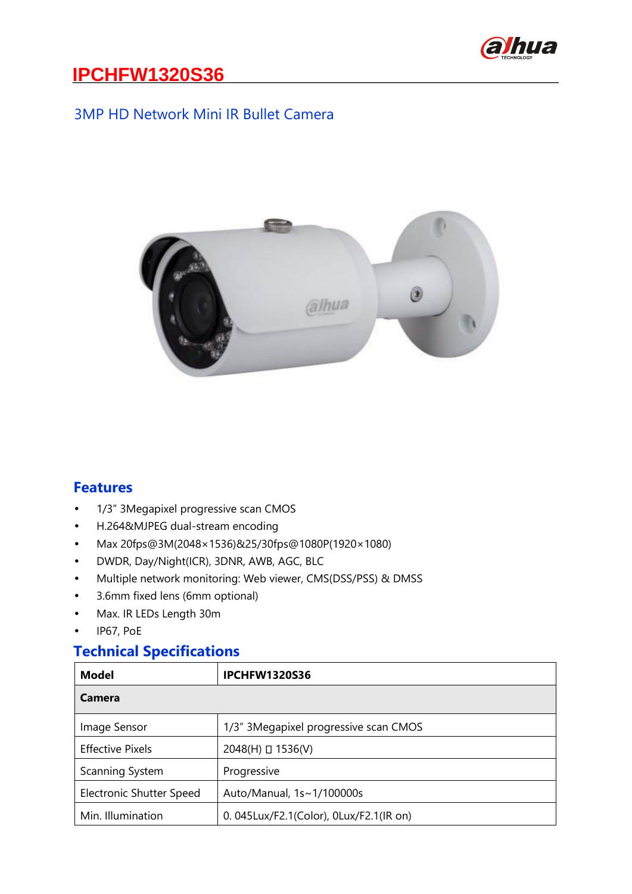

#### 3MP HD Network Mini IR Bullet Camera



#### **Features**

- 1/3" 3Megapixel progressive scan CMOS
- H.264&MJPEG dual-stream encoding
- Max 20fps@3M(2048×1536)&25/30fps@1080P(1920×1080)
- DWDR, Day/Night(ICR), 3DNR, AWB, AGC, BLC
- Multiple network monitoring: Web viewer, CMS(DSS/PSS) & DMSS
- 3.6mm fixed lens (6mm optional)
- Max. IR LEDs Length 30m
- IP67, PoE

### **Technical Specifications**

| <b>Model</b>             | <b>IPCHFW1320S36</b>                    |  |
|--------------------------|-----------------------------------------|--|
| Camera                   |                                         |  |
| Image Sensor             | 1/3" 3Megapixel progressive scan CMOS   |  |
| <b>Effective Pixels</b>  | $2048(H)$ $\Box$ 1536(V)                |  |
| Scanning System          | Progressive                             |  |
| Electronic Shutter Speed | Auto/Manual, 1s~1/100000s               |  |
| Min. Illumination        | 0. 045Lux/F2.1(Color), 0Lux/F2.1(IR on) |  |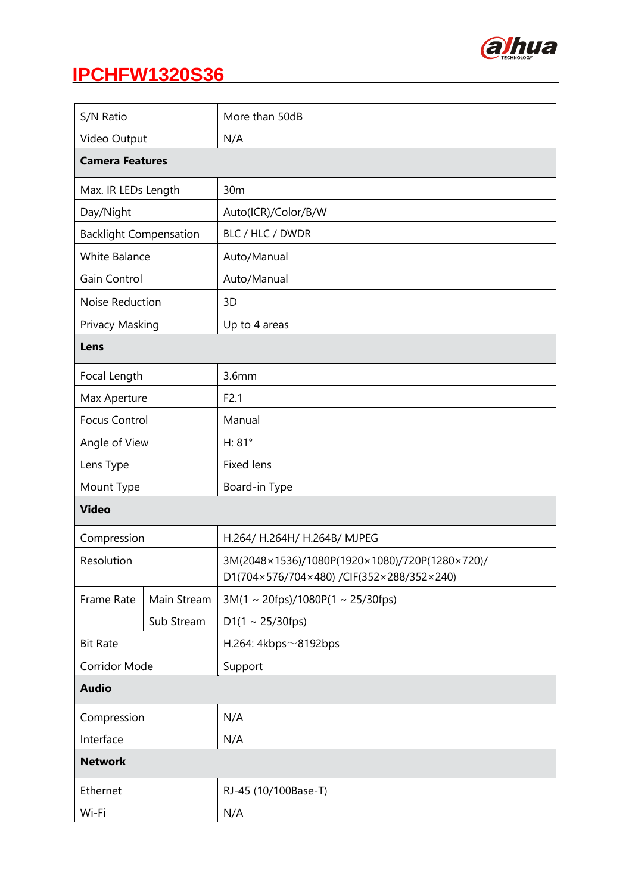

| S/N Ratio                     |             | More than 50dB                                                                              |  |
|-------------------------------|-------------|---------------------------------------------------------------------------------------------|--|
| Video Output                  |             | N/A                                                                                         |  |
| <b>Camera Features</b>        |             |                                                                                             |  |
| Max. IR LEDs Length           |             | 30m                                                                                         |  |
| Day/Night                     |             | Auto(ICR)/Color/B/W                                                                         |  |
| <b>Backlight Compensation</b> |             | BLC / HLC / DWDR                                                                            |  |
| <b>White Balance</b>          |             | Auto/Manual                                                                                 |  |
| Gain Control                  |             | Auto/Manual                                                                                 |  |
| Noise Reduction               |             | 3D                                                                                          |  |
| Privacy Masking               |             | Up to 4 areas                                                                               |  |
| Lens                          |             |                                                                                             |  |
| Focal Length                  |             | 3.6 <sub>mm</sub>                                                                           |  |
| Max Aperture                  |             | F2.1                                                                                        |  |
| <b>Focus Control</b>          |             | Manual                                                                                      |  |
| Angle of View                 |             | H: 81°                                                                                      |  |
| Lens Type                     |             | <b>Fixed lens</b>                                                                           |  |
| Mount Type                    |             | Board-in Type                                                                               |  |
| <b>Video</b>                  |             |                                                                                             |  |
| Compression                   |             | H.264/ H.264H/ H.264B/ MJPEG                                                                |  |
| Resolution                    |             | 3M(2048×1536)/1080P(1920×1080)/720P(1280×720)/<br>D1(704×576/704×480) /CIF(352×288/352×240) |  |
| Frame Rate                    | Main Stream | $3M(1 \sim 20$ fps)/1080P(1 ~ 25/30fps)                                                     |  |
|                               | Sub Stream  | $D1(1 \sim 25/30$ fps)                                                                      |  |
| <b>Bit Rate</b>               |             | H.264: 4kbps $\sim$ 8192bps                                                                 |  |
| Corridor Mode                 |             | Support                                                                                     |  |
| <b>Audio</b>                  |             |                                                                                             |  |
| Compression                   |             | N/A                                                                                         |  |
| Interface                     |             | N/A                                                                                         |  |
| <b>Network</b>                |             |                                                                                             |  |
| Ethernet                      |             | RJ-45 (10/100Base-T)                                                                        |  |
| Wi-Fi                         |             | N/A                                                                                         |  |
|                               |             |                                                                                             |  |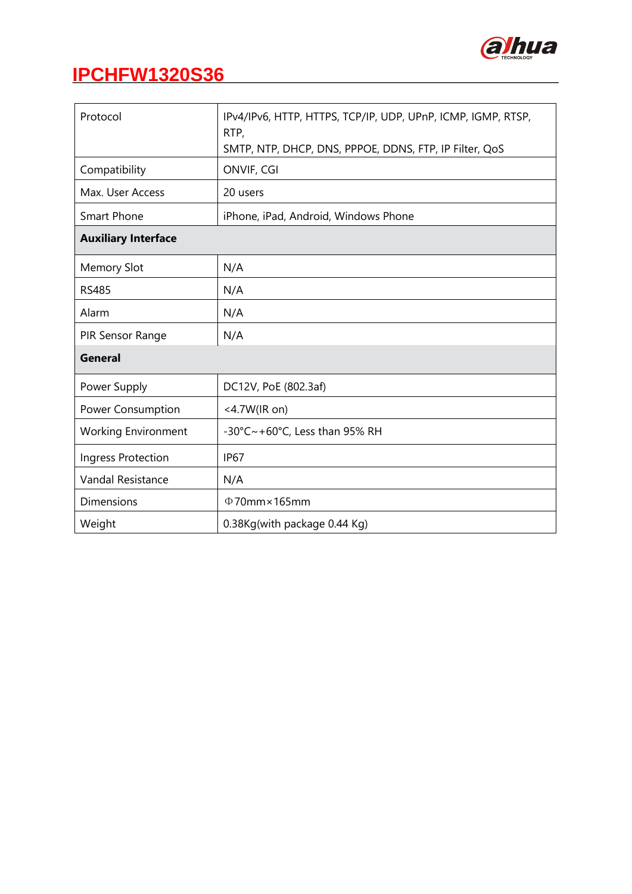

| Protocol                   | IPv4/IPv6, HTTP, HTTPS, TCP/IP, UDP, UPnP, ICMP, IGMP, RTSP,<br>RTP,<br>SMTP, NTP, DHCP, DNS, PPPOE, DDNS, FTP, IP Filter, QoS |  |  |  |
|----------------------------|--------------------------------------------------------------------------------------------------------------------------------|--|--|--|
|                            |                                                                                                                                |  |  |  |
| Compatibility              | ONVIF, CGI                                                                                                                     |  |  |  |
| Max. User Access           | 20 users                                                                                                                       |  |  |  |
| <b>Smart Phone</b>         | iPhone, iPad, Android, Windows Phone                                                                                           |  |  |  |
| <b>Auxiliary Interface</b> |                                                                                                                                |  |  |  |
| <b>Memory Slot</b>         | N/A                                                                                                                            |  |  |  |
| <b>RS485</b>               | N/A                                                                                                                            |  |  |  |
| Alarm                      | N/A                                                                                                                            |  |  |  |
| PIR Sensor Range           | N/A                                                                                                                            |  |  |  |
| <b>General</b>             |                                                                                                                                |  |  |  |
| Power Supply               | DC12V, PoE (802.3af)                                                                                                           |  |  |  |
| Power Consumption          | <4.7W(IR on)                                                                                                                   |  |  |  |
| <b>Working Environment</b> | -30°C~+60°C, Less than 95% RH                                                                                                  |  |  |  |
| Ingress Protection         | <b>IP67</b>                                                                                                                    |  |  |  |
| Vandal Resistance          | N/A                                                                                                                            |  |  |  |
| <b>Dimensions</b>          | $\Phi$ 70mm×165mm                                                                                                              |  |  |  |
| Weight                     | 0.38Kg(with package 0.44 Kg)                                                                                                   |  |  |  |